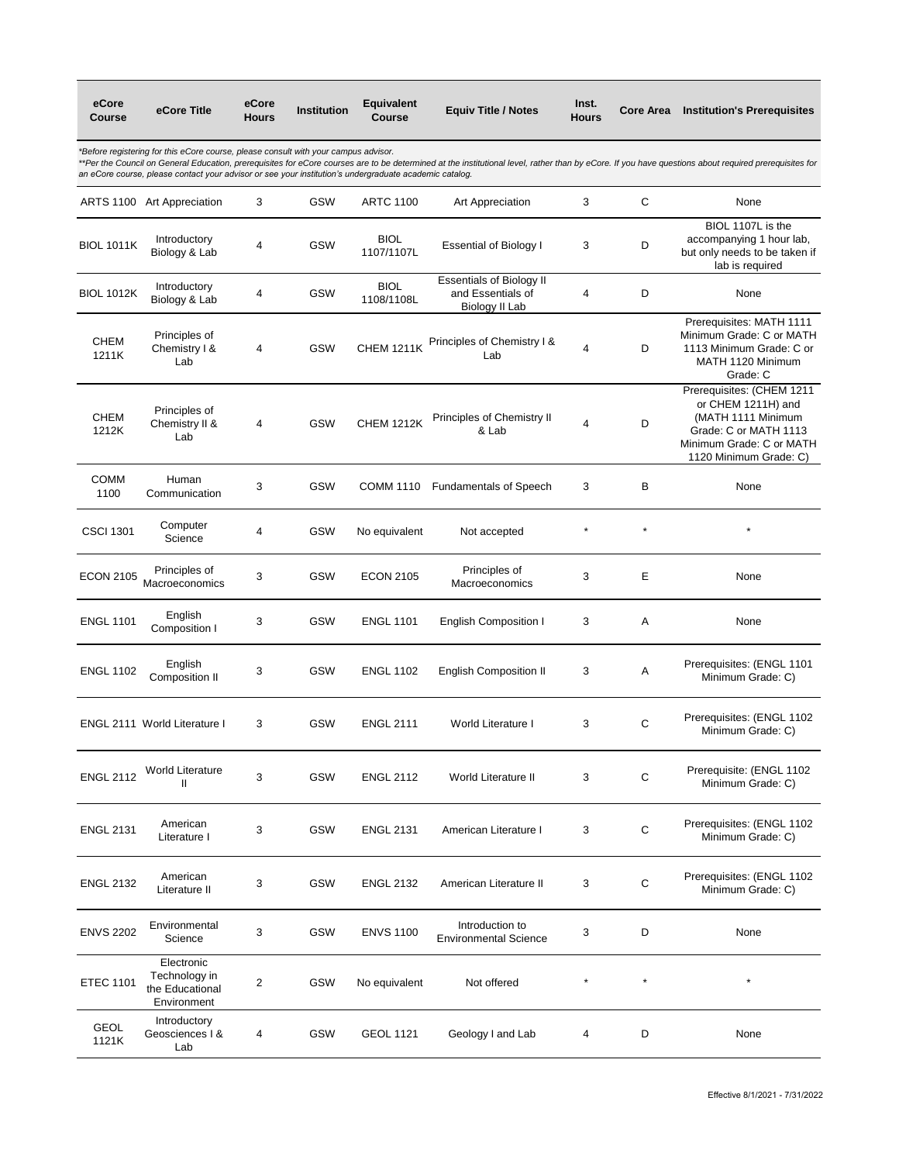| eCore<br>Course                                                                                                                                                                                                                                                                                                                                                                                        | eCore Title                                                   | eCore<br><b>Hours</b>   | Institution | <b>Equivalent</b><br>Course | <b>Equiv Title / Notes</b>                                             | Inst.<br>Hours          | <b>Core Area</b> | <b>Institution's Prerequisites</b>                                                                                                                   |  |  |
|--------------------------------------------------------------------------------------------------------------------------------------------------------------------------------------------------------------------------------------------------------------------------------------------------------------------------------------------------------------------------------------------------------|---------------------------------------------------------------|-------------------------|-------------|-----------------------------|------------------------------------------------------------------------|-------------------------|------------------|------------------------------------------------------------------------------------------------------------------------------------------------------|--|--|
| *Before registering for this eCore course, please consult with your campus advisor.<br>**Per the Council on General Education, prerequisites for eCore courses are to be determined at the institutional level, rather than by eCore. If you have questions about required prerequisites for<br>an eCore course, please contact your advisor or see your institution's undergraduate academic catalog. |                                                               |                         |             |                             |                                                                        |                         |                  |                                                                                                                                                      |  |  |
|                                                                                                                                                                                                                                                                                                                                                                                                        | ARTS 1100 Art Appreciation                                    | 3                       | <b>GSW</b>  | <b>ARTC 1100</b>            | Art Appreciation                                                       | 3                       | C                | None                                                                                                                                                 |  |  |
| <b>BIOL 1011K</b>                                                                                                                                                                                                                                                                                                                                                                                      | Introductory<br>Biology & Lab                                 | 4                       | <b>GSW</b>  | <b>BIOL</b><br>1107/1107L   | <b>Essential of Biology I</b>                                          | 3                       | D                | BIOL 1107L is the<br>accompanying 1 hour lab,<br>but only needs to be taken if<br>lab is required                                                    |  |  |
| <b>BIOL 1012K</b>                                                                                                                                                                                                                                                                                                                                                                                      | Introductory<br>Biology & Lab                                 | 4                       | <b>GSW</b>  | <b>BIOL</b><br>1108/1108L   | <b>Essentials of Biology II</b><br>and Essentials of<br>Biology II Lab | 4                       | D                | None                                                                                                                                                 |  |  |
| CHEM<br>1211K                                                                                                                                                                                                                                                                                                                                                                                          | Principles of<br>Chemistry I &<br>Lab                         | 4                       | <b>GSW</b>  | <b>CHEM 1211K</b>           | Principles of Chemistry I &<br>Lab                                     | $\overline{\mathbf{4}}$ | D                | Prerequisites: MATH 1111<br>Minimum Grade: C or MATH<br>1113 Minimum Grade: C or<br>MATH 1120 Minimum<br>Grade: C                                    |  |  |
| <b>CHEM</b><br>1212K                                                                                                                                                                                                                                                                                                                                                                                   | Principles of<br>Chemistry II &<br>Lab                        | 4                       | GSW         | <b>CHEM 1212K</b>           | Principles of Chemistry II<br>& Lab                                    | $\overline{\mathbf{4}}$ | D                | Prerequisites: (CHEM 1211<br>or CHEM 1211H) and<br>(MATH 1111 Minimum<br>Grade: C or MATH 1113<br>Minimum Grade: C or MATH<br>1120 Minimum Grade: C) |  |  |
| <b>COMM</b><br>1100                                                                                                                                                                                                                                                                                                                                                                                    | Human<br>Communication                                        | 3                       | <b>GSW</b>  | <b>COMM 1110</b>            | <b>Fundamentals of Speech</b>                                          | 3                       | В                | None                                                                                                                                                 |  |  |
| <b>CSCI 1301</b>                                                                                                                                                                                                                                                                                                                                                                                       | Computer<br>Science                                           | 4                       | <b>GSW</b>  | No equivalent               | Not accepted                                                           |                         |                  | $\star$                                                                                                                                              |  |  |
| <b>ECON 2105</b>                                                                                                                                                                                                                                                                                                                                                                                       | Principles of<br>Macroeconomics                               | 3                       | <b>GSW</b>  | <b>ECON 2105</b>            | Principles of<br>Macroeconomics                                        | 3                       | E                | None                                                                                                                                                 |  |  |
| <b>ENGL 1101</b>                                                                                                                                                                                                                                                                                                                                                                                       | English<br>Composition I                                      | 3                       | GSW         | <b>ENGL 1101</b>            | <b>English Composition I</b>                                           | 3                       | Α                | None                                                                                                                                                 |  |  |
| <b>ENGL 1102</b>                                                                                                                                                                                                                                                                                                                                                                                       | English<br>Composition II                                     | 3                       | <b>GSW</b>  | <b>ENGL 1102</b>            | <b>English Composition II</b>                                          | 3                       | Α                | Prerequisites: (ENGL 1101<br>Minimum Grade: C)                                                                                                       |  |  |
|                                                                                                                                                                                                                                                                                                                                                                                                        | <b>ENGL 2111 World Literature I</b>                           | 3                       | <b>GSW</b>  | <b>ENGL 2111</b>            | World Literature I                                                     | 3                       | C                | Prerequisites: (ENGL 1102<br>Minimum Grade: C)                                                                                                       |  |  |
| <b>ENGL 2112</b>                                                                                                                                                                                                                                                                                                                                                                                       | <b>World Literature</b><br>$\mathbf{II}$                      | 3                       | <b>GSW</b>  | <b>ENGL 2112</b>            | <b>World Literature II</b>                                             | 3                       | $\mathsf C$      | Prerequisite: (ENGL 1102<br>Minimum Grade: C)                                                                                                        |  |  |
| <b>ENGL 2131</b>                                                                                                                                                                                                                                                                                                                                                                                       | American<br>Literature I                                      | 3                       | <b>GSW</b>  | <b>ENGL 2131</b>            | American Literature I                                                  | 3                       | $\mathbf C$      | Prerequisites: (ENGL 1102<br>Minimum Grade: C)                                                                                                       |  |  |
| <b>ENGL 2132</b>                                                                                                                                                                                                                                                                                                                                                                                       | American<br>Literature II                                     | 3                       | <b>GSW</b>  | <b>ENGL 2132</b>            | American Literature II                                                 | 3                       | $\mathbf C$      | Prerequisites: (ENGL 1102<br>Minimum Grade: C)                                                                                                       |  |  |
| <b>ENVS 2202</b>                                                                                                                                                                                                                                                                                                                                                                                       | Environmental<br>Science                                      | 3                       | GSW         | <b>ENVS 1100</b>            | Introduction to<br><b>Environmental Science</b>                        | 3                       | D                | None                                                                                                                                                 |  |  |
| <b>ETEC 1101</b>                                                                                                                                                                                                                                                                                                                                                                                       | Electronic<br>Technology in<br>the Educational<br>Environment | $\overline{\mathbf{c}}$ | GSW         | No equivalent               | Not offered                                                            |                         |                  | $\star$                                                                                                                                              |  |  |
| <b>GEOL</b><br>1121K                                                                                                                                                                                                                                                                                                                                                                                   | Introductory<br>Geosciences I &<br>Lab                        | 4                       | <b>GSW</b>  | <b>GEOL 1121</b>            | Geology I and Lab                                                      | 4                       | D                | None                                                                                                                                                 |  |  |